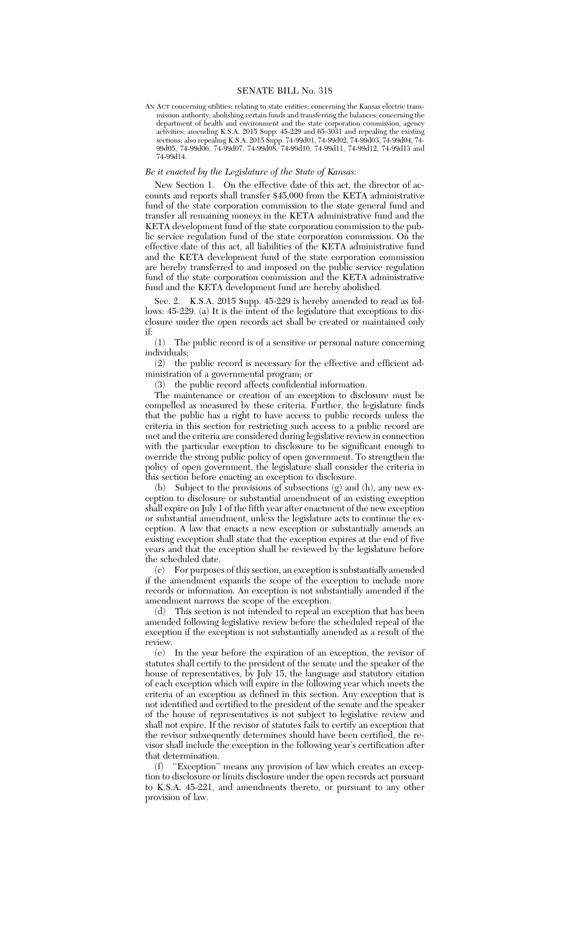AN ACT concerning utilities; relating to state entities; concerning the Kansas electric transmission authority; abolishing certain funds and transferring the balances; concerning the department of health and environment and the state corporation commission, agency activities; amending K.S.A. 2015 Supp. 45-229 and 65-3031 and repealing the existing sections; also repealing K.S.A. 2015 Supp. 74-99d01, 74-99d02, 74-99d03, 74-99d04, 74- 99d05, 74-99d06, 74-99d07, 74-99d08, 74-99d10, 74-99d11, 74-99d12, 74-99d13 and 74-99d14.

## *Be it enacted by the Legislature of the State of Kansas:*

New Section 1. On the effective date of this act, the director of accounts and reports shall transfer \$45,000 from the KETA administrative fund of the state corporation commission to the state general fund and transfer all remaining moneys in the KETA administrative fund and the KETA development fund of the state corporation commission to the public service regulation fund of the state corporation commission. On the effective date of this act, all liabilities of the KETA administrative fund and the KETA development fund of the state corporation commission are hereby transferred to and imposed on the public service regulation fund of the state corporation commission and the KETA administrative fund and the KETA development fund are hereby abolished.

Sec. 2. K.S.A. 2015 Supp. 45-229 is hereby amended to read as follows: 45-229. (a) It is the intent of the legislature that exceptions to disclosure under the open records act shall be created or maintained only if:

(1) The public record is of a sensitive or personal nature concerning individuals;

(2) the public record is necessary for the effective and efficient administration of a governmental program; or

(3) the public record affects confidential information.

The maintenance or creation of an exception to disclosure must be compelled as measured by these criteria. Further, the legislature finds that the public has a right to have access to public records unless the criteria in this section for restricting such access to a public record are met and the criteria are considered during legislative review in connection with the particular exception to disclosure to be significant enough to override the strong public policy of open government. To strengthen the policy of open government, the legislature shall consider the criteria in this section before enacting an exception to disclosure.

(b) Subject to the provisions of subsections (g) and (h), any new exception to disclosure or substantial amendment of an existing exception shall expire on July 1 of the fifth year after enactment of the new exception or substantial amendment, unless the legislature acts to continue the exception. A law that enacts a new exception or substantially amends an existing exception shall state that the exception expires at the end of five years and that the exception shall be reviewed by the legislature before the scheduled date.

(c) For purposes of this section, an exception is substantially amended if the amendment expands the scope of the exception to include more records or information. An exception is not substantially amended if the amendment narrows the scope of the exception.

(d) This section is not intended to repeal an exception that has been amended following legislative review before the scheduled repeal of the exception if the exception is not substantially amended as a result of the review.

(e) In the year before the expiration of an exception, the revisor of statutes shall certify to the president of the senate and the speaker of the house of representatives, by July 15, the language and statutory citation of each exception which will expire in the following year which meets the criteria of an exception as defined in this section. Any exception that is not identified and certified to the president of the senate and the speaker of the house of representatives is not subject to legislative review and shall not expire. If the revisor of statutes fails to certify an exception that the revisor subsequently determines should have been certified, the revisor shall include the exception in the following year's certification after that determination.

(f) ''Exception'' means any provision of law which creates an exception to disclosure or limits disclosure under the open records act pursuant to K.S.A. 45-221, and amendments thereto, or pursuant to any other provision of law.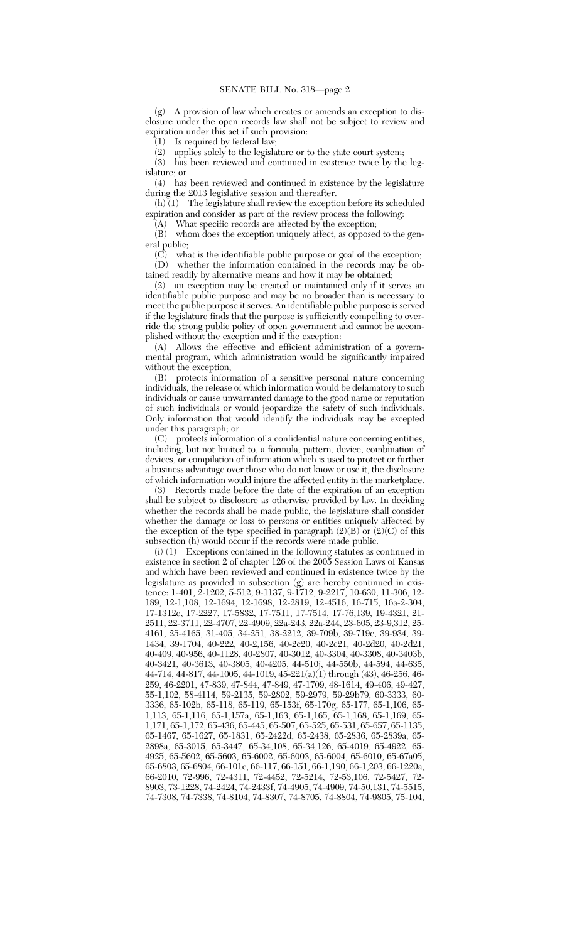(g) A provision of law which creates or amends an exception to disclosure under the open records law shall not be subject to review and expiration under this act if such provision:

 $(1)$  Is required by federal law;

(2) applies solely to the legislature or to the state court system;<br>(3) has been reviewed and continued in existence twice by the has been reviewed and continued in existence twice by the legislature; or

(4) has been reviewed and continued in existence by the legislature during the 2013 legislative session and thereafter.

 $(h)$  (1) The legislature shall review the exception before its scheduled expiration and consider as part of the review process the following:

(A) What specific records are affected by the exception;

(B) whom does the exception uniquely affect, as opposed to the general public;

(C) what is the identifiable public purpose or goal of the exception; (D) whether the information contained in the records may be ob-

tained readily by alternative means and how it may be obtained;

(2) an exception may be created or maintained only if it serves an identifiable public purpose and may be no broader than is necessary to meet the public purpose it serves. An identifiable public purpose is served if the legislature finds that the purpose is sufficiently compelling to override the strong public policy of open government and cannot be accomplished without the exception and if the exception:

(A) Allows the effective and efficient administration of a governmental program, which administration would be significantly impaired without the exception;

(B) protects information of a sensitive personal nature concerning individuals, the release of which information would be defamatory to such individuals or cause unwarranted damage to the good name or reputation of such individuals or would jeopardize the safety of such individuals. Only information that would identify the individuals may be excepted under this paragraph; or

(C) protects information of a confidential nature concerning entities, including, but not limited to, a formula, pattern, device, combination of devices, or compilation of information which is used to protect or further a business advantage over those who do not know or use it, the disclosure of which information would injure the affected entity in the marketplace.

(3) Records made before the date of the expiration of an exception shall be subject to disclosure as otherwise provided by law. In deciding whether the records shall be made public, the legislature shall consider whether the damage or loss to persons or entities uniquely affected by the exception of the type specified in paragraph (2)(B) or (2)(C) of this subsection (h) would occur if the records were made public.

(i) (1) Exceptions contained in the following statutes as continued in existence in section 2 of chapter 126 of the 2005 Session Laws of Kansas and which have been reviewed and continued in existence twice by the legislature as provided in subsection (g) are hereby continued in existence: 1-401, 2-1202, 5-512, 9-1137, 9-1712, 9-2217, 10-630, 11-306, 12- 189, 12-1,108, 12-1694, 12-1698, 12-2819, 12-4516, 16-715, 16a-2-304, 17-1312e, 17-2227, 17-5832, 17-7511, 17-7514, 17-76,139, 19-4321, 21- 2511, 22-3711, 22-4707, 22-4909, 22a-243, 22a-244, 23-605, 23-9,312, 25- 4161, 25-4165, 31-405, 34-251, 38-2212, 39-709b, 39-719e, 39-934, 39- 1434, 39-1704, 40-222, 40-2,156, 40-2c20, 40-2c21, 40-2d20, 40-2d21, 40-409, 40-956, 40-1128, 40-2807, 40-3012, 40-3304, 40-3308, 40-3403b, 40-3421, 40-3613, 40-3805, 40-4205, 44-510j, 44-550b, 44-594, 44-635, 44-714, 44-817, 44-1005, 44-1019, 45-221(a)(1) through (43), 46-256, 46- 259, 46-2201, 47-839, 47-844, 47-849, 47-1709, 48-1614, 49-406, 49-427, 55-1,102, 58-4114, 59-2135, 59-2802, 59-2979, 59-29b79, 60-3333, 60- 3336, 65-102b, 65-118, 65-119, 65-153f, 65-170g, 65-177, 65-1,106, 65- 1,113, 65-1,116, 65-1,157a, 65-1,163, 65-1,165, 65-1,168, 65-1,169, 65- 1,171, 65-1,172, 65-436, 65-445, 65-507, 65-525, 65-531, 65-657, 65-1135, 65-1467, 65-1627, 65-1831, 65-2422d, 65-2438, 65-2836, 65-2839a, 65- 2898a, 65-3015, 65-3447, 65-34,108, 65-34,126, 65-4019, 65-4922, 65- 4925, 65-5602, 65-5603, 65-6002, 65-6003, 65-6004, 65-6010, 65-67a05, 65-6803, 65-6804, 66-101c, 66-117, 66-151, 66-1,190, 66-1,203, 66-1220a, 66-2010, 72-996, 72-4311, 72-4452, 72-5214, 72-53,106, 72-5427, 72- 8903, 73-1228, 74-2424, 74-2433f, 74-4905, 74-4909, 74-50,131, 74-5515, 74-7308, 74-7338, 74-8104, 74-8307, 74-8705, 74-8804, 74-9805, 75-104,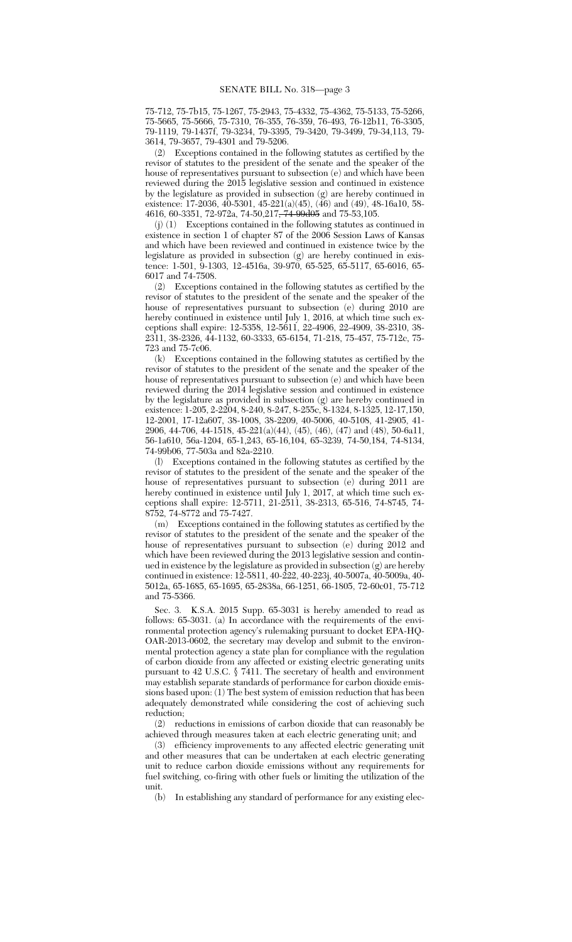75-712, 75-7b15, 75-1267, 75-2943, 75-4332, 75-4362, 75-5133, 75-5266, 75-5665, 75-5666, 75-7310, 76-355, 76-359, 76-493, 76-12b11, 76-3305, 79-1119, 79-1437f, 79-3234, 79-3395, 79-3420, 79-3499, 79-34,113, 79- 3614, 79-3657, 79-4301 and 79-5206.

(2) Exceptions contained in the following statutes as certified by the revisor of statutes to the president of the senate and the speaker of the house of representatives pursuant to subsection (e) and which have been reviewed during the 2015 legislative session and continued in existence by the legislature as provided in subsection (g) are hereby continued in existence: 17-2036,  $40-5301$ ,  $45-221(a)(45)$ ,  $(46)$  and  $(49)$ ,  $48-16a10$ ,  $58-$ 4616, 60-3351, 72-972a, 74-50,217, 74-99d05 and 75-53,105.

(j) (1) Exceptions contained in the following statutes as continued in existence in section 1 of chapter 87 of the 2006 Session Laws of Kansas and which have been reviewed and continued in existence twice by the legislature as provided in subsection (g) are hereby continued in existence: 1-501, 9-1303, 12-4516a, 39-970, 65-525, 65-5117, 65-6016, 65- 6017 and 74-7508.

(2) Exceptions contained in the following statutes as certified by the revisor of statutes to the president of the senate and the speaker of the house of representatives pursuant to subsection (e) during 2010 are hereby continued in existence until July 1, 2016, at which time such exceptions shall expire: 12-5358, 12-5611, 22-4906, 22-4909, 38-2310, 38- 2311, 38-2326, 44-1132, 60-3333, 65-6154, 71-218, 75-457, 75-712c, 75- 723 and 75-7c06.

(k) Exceptions contained in the following statutes as certified by the revisor of statutes to the president of the senate and the speaker of the house of representatives pursuant to subsection (e) and which have been reviewed during the 2014 legislative session and continued in existence by the legislature as provided in subsection (g) are hereby continued in existence: 1-205, 2-2204, 8-240, 8-247, 8-255c, 8-1324, 8-1325, 12-17,150, 12-2001, 17-12a607, 38-1008, 38-2209, 40-5006, 40-5108, 41-2905, 41- 2906, 44-706, 44-1518, 45-221(a)(44), (45), (46), (47) and (48), 50-6a11, 56-1a610, 56a-1204, 65-1,243, 65-16,104, 65-3239, 74-50,184, 74-8134, 74-99b06, 77-503a and 82a-2210.

(l) Exceptions contained in the following statutes as certified by the revisor of statutes to the president of the senate and the speaker of the house of representatives pursuant to subsection (e) during 2011 are hereby continued in existence until July 1, 2017, at which time such exceptions shall expire: 12-5711, 21-2511, 38-2313, 65-516, 74-8745, 74- 8752, 74-8772 and 75-7427.

(m) Exceptions contained in the following statutes as certified by the revisor of statutes to the president of the senate and the speaker of the house of representatives pursuant to subsection (e) during 2012 and which have been reviewed during the 2013 legislative session and continued in existence by the legislature as provided in subsection (g) are hereby continued in existence: 12-5811, 40-222, 40-223j, 40-5007a, 40-5009a, 40- 5012a, 65-1685, 65-1695, 65-2838a, 66-1251, 66-1805, 72-60c01, 75-712 and 75-5366.

Sec. 3. K.S.A. 2015 Supp. 65-3031 is hereby amended to read as follows: 65-3031. (a) In accordance with the requirements of the environmental protection agency's rulemaking pursuant to docket EPA-HQ-OAR-2013-0602, the secretary may develop and submit to the environmental protection agency a state plan for compliance with the regulation of carbon dioxide from any affected or existing electric generating units pursuant to 42 U.S.C. § 7411. The secretary of health and environment may establish separate standards of performance for carbon dioxide emissions based upon: (1) The best system of emission reduction that has been adequately demonstrated while considering the cost of achieving such reduction;

(2) reductions in emissions of carbon dioxide that can reasonably be achieved through measures taken at each electric generating unit; and

(3) efficiency improvements to any affected electric generating unit and other measures that can be undertaken at each electric generating unit to reduce carbon dioxide emissions without any requirements for fuel switching, co-firing with other fuels or limiting the utilization of the unit.

(b) In establishing any standard of performance for any existing elec-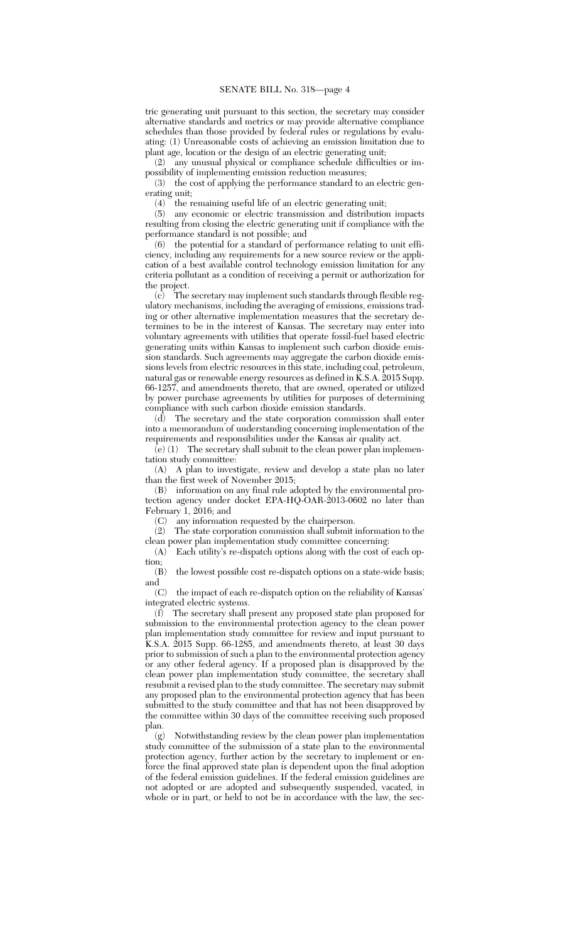tric generating unit pursuant to this section, the secretary may consider alternative standards and metrics or may provide alternative compliance schedules than those provided by federal rules or regulations by evaluating: (1) Unreasonable costs of achieving an emission limitation due to plant age, location or the design of an electric generating unit;

(2) any unusual physical or compliance schedule difficulties or impossibility of implementing emission reduction measures;

(3) the cost of applying the performance standard to an electric generating unit;

 $(4)$  the remaining useful life of an electric generating unit;<br> $(5)$  any economic or electric transmission and distribution

any economic or electric transmission and distribution impacts resulting from closing the electric generating unit if compliance with the performance standard is not possible; and

(6) the potential for a standard of performance relating to unit efficiency, including any requirements for a new source review or the application of a best available control technology emission limitation for any criteria pollutant as a condition of receiving a permit or authorization for the project.

(c) The secretary may implement such standards through flexible regulatory mechanisms, including the averaging of emissions, emissions trading or other alternative implementation measures that the secretary determines to be in the interest of Kansas. The secretary may enter into voluntary agreements with utilities that operate fossil-fuel based electric generating units within Kansas to implement such carbon dioxide emission standards. Such agreements may aggregate the carbon dioxide emissions levels from electric resources in this state, including coal, petroleum, natural gas or renewable energy resources as defined in K.S.A. 2015 Supp. 66-1257, and amendments thereto, that are owned, operated or utilized by power purchase agreements by utilities for purposes of determining compliance with such carbon dioxide emission standards.

 $(d)$  The secretary and the state corporation commission shall enter into a memorandum of understanding concerning implementation of the requirements and responsibilities under the Kansas air quality act.

 $\overline{e}(e)$  (1) The secretary shall submit to the clean power plan implementation study committee:

(A) A plan to investigate, review and develop a state plan no later than the first week of November 2015;

(B) information on any final rule adopted by the environmental protection agency under docket EPA-HQ-OAR-2013-0602 no later than February 1, 2016; and

(C) any information requested by the chairperson.

(2) The state corporation commission shall submit information to the

clean power plan implementation study committee concerning:<br>(A) Each utility's re-dispatch options along with the cost of Each utility's re-dispatch options along with the cost of each option;

(B) the lowest possible cost re-dispatch options on a state-wide basis; and

(C) the impact of each re-dispatch option on the reliability of Kansas' integrated electric systems.

(f) The secretary shall present any proposed state plan proposed for submission to the environmental protection agency to the clean power plan implementation study committee for review and input pursuant to K.S.A. 2015 Supp. 66-1285, and amendments thereto, at least 30 days prior to submission of such a plan to the environmental protection agency or any other federal agency. If a proposed plan is disapproved by the clean power plan implementation study committee, the secretary shall resubmit a revised plan to the study committee. The secretary may submit any proposed plan to the environmental protection agency that has been submitted to the study committee and that has not been disapproved by the committee within 30 days of the committee receiving such proposed plan.

(g) Notwithstanding review by the clean power plan implementation study committee of the submission of a state plan to the environmental protection agency, further action by the secretary to implement or enforce the final approved state plan is dependent upon the final adoption of the federal emission guidelines. If the federal emission guidelines are not adopted or are adopted and subsequently suspended, vacated, in whole or in part, or held to not be in accordance with the law, the sec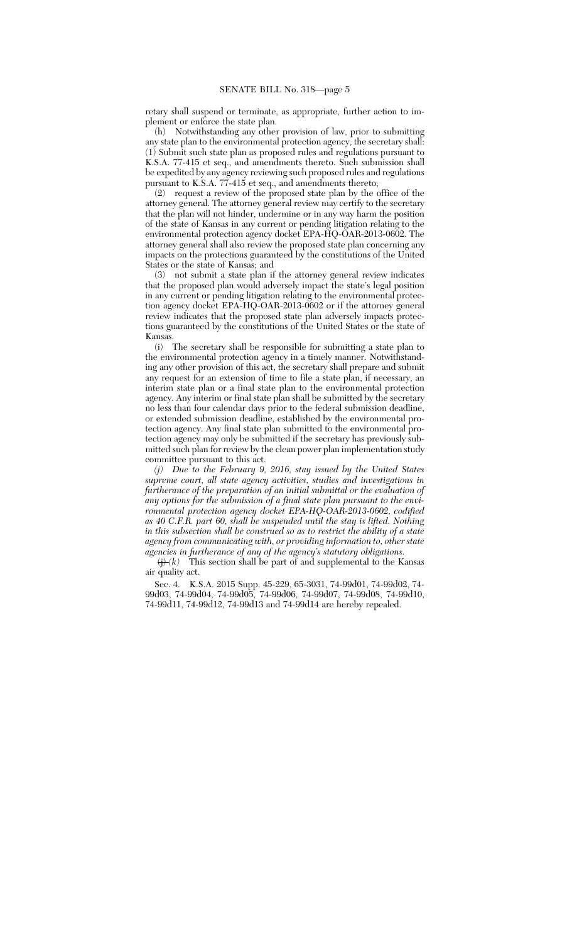retary shall suspend or terminate, as appropriate, further action to implement or enforce the state plan.

(h) Notwithstanding any other provision of law, prior to submitting any state plan to the environmental protection agency, the secretary shall: (1) Submit such state plan as proposed rules and regulations pursuant to K.S.A. 77-415 et seq., and amendments thereto. Such submission shall be expedited by any agency reviewing such proposed rules and regulations pursuant to K.S.A. 77-415 et seq., and amendments thereto;

(2) request a review of the proposed state plan by the office of the attorney general. The attorney general review may certify to the secretary that the plan will not hinder, undermine or in any way harm the position of the state of Kansas in any current or pending litigation relating to the environmental protection agency docket EPA-HQ-OAR-2013-0602. The attorney general shall also review the proposed state plan concerning any impacts on the protections guaranteed by the constitutions of the United States or the state of Kansas; and

(3) not submit a state plan if the attorney general review indicates that the proposed plan would adversely impact the state's legal position in any current or pending litigation relating to the environmental protection agency docket EPA-HQ-OAR-2013-0602 or if the attorney general review indicates that the proposed state plan adversely impacts protections guaranteed by the constitutions of the United States or the state of Kansas.

(i) The secretary shall be responsible for submitting a state plan to the environmental protection agency in a timely manner. Notwithstanding any other provision of this act, the secretary shall prepare and submit any request for an extension of time to file a state plan, if necessary, an interim state plan or a final state plan to the environmental protection agency. Any interim or final state plan shall be submitted by the secretary no less than four calendar days prior to the federal submission deadline, or extended submission deadline, established by the environmental protection agency. Any final state plan submitted to the environmental protection agency may only be submitted if the secretary has previously submitted such plan for review by the clean power plan implementation study committee pursuant to this act.

*(j) Due to the February 9, 2016, stay issued by the United States supreme court, all state agency activities, studies and investigations in furtherance of the preparation of an initial submittal or the evaluation of any options for the submission of a final state plan pursuant to the environmental protection agency docket EPA-HQ-OAR-2013-0602, codified as 40 C.F.R. part 60, shall be suspended until the stay is lifted. Nothing in this subsection shall be construed so as to restrict the ability of a state agency from communicating with, or providing information to, other state agencies in furtherance of any of the agency's statutory obligations.*

 $\overline{(i)}(k)$  This section shall be part of and supplemental to the Kansas air quality act.

Sec. 4. K.S.A. 2015 Supp. 45-229, 65-3031, 74-99d01, 74-99d02, 74- 99d03, 74-99d04, 74-99d05, 74-99d06, 74-99d07, 74-99d08, 74-99d10, 74-99d11, 74-99d12, 74-99d13 and 74-99d14 are hereby repealed.